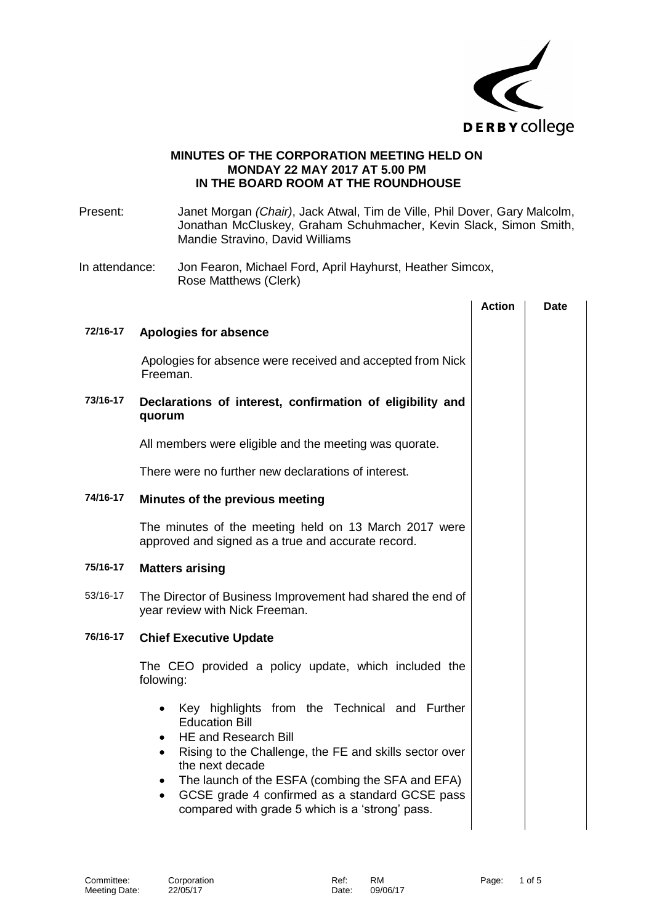

## **MINUTES OF THE CORPORATION MEETING HELD ON MONDAY 22 MAY 2017 AT 5.00 PM IN THE BOARD ROOM AT THE ROUNDHOUSE**

Present: Janet Morgan *(Chair)*, Jack Atwal, Tim de Ville, Phil Dover, Gary Malcolm, Jonathan McCluskey, Graham Schuhmacher, Kevin Slack, Simon Smith, Mandie Stravino, David Williams

In attendance: Jon Fearon, Michael Ford, April Hayhurst, Heather Simcox, Rose Matthews (Clerk)

|          |                                                                                                                                                                                                                                                                                                                                                                                                              | <b>Action</b> | Date |
|----------|--------------------------------------------------------------------------------------------------------------------------------------------------------------------------------------------------------------------------------------------------------------------------------------------------------------------------------------------------------------------------------------------------------------|---------------|------|
| 72/16-17 | Apologies for absence                                                                                                                                                                                                                                                                                                                                                                                        |               |      |
|          | Apologies for absence were received and accepted from Nick<br>Freeman.                                                                                                                                                                                                                                                                                                                                       |               |      |
| 73/16-17 | Declarations of interest, confirmation of eligibility and<br>quorum                                                                                                                                                                                                                                                                                                                                          |               |      |
|          | All members were eligible and the meeting was quorate.                                                                                                                                                                                                                                                                                                                                                       |               |      |
|          | There were no further new declarations of interest.                                                                                                                                                                                                                                                                                                                                                          |               |      |
| 74/16-17 | Minutes of the previous meeting                                                                                                                                                                                                                                                                                                                                                                              |               |      |
|          | The minutes of the meeting held on 13 March 2017 were<br>approved and signed as a true and accurate record.                                                                                                                                                                                                                                                                                                  |               |      |
| 75/16-17 | <b>Matters arising</b>                                                                                                                                                                                                                                                                                                                                                                                       |               |      |
| 53/16-17 | The Director of Business Improvement had shared the end of<br>year review with Nick Freeman.                                                                                                                                                                                                                                                                                                                 |               |      |
| 76/16-17 | <b>Chief Executive Update</b>                                                                                                                                                                                                                                                                                                                                                                                |               |      |
|          | The CEO provided a policy update, which included the<br>folowing:                                                                                                                                                                                                                                                                                                                                            |               |      |
|          | Key highlights from the Technical and Further<br>$\bullet$<br><b>Education Bill</b><br><b>HE and Research Bill</b><br>$\bullet$<br>Rising to the Challenge, the FE and skills sector over<br>$\bullet$<br>the next decade<br>The launch of the ESFA (combing the SFA and EFA)<br>$\bullet$<br>GCSE grade 4 confirmed as a standard GCSE pass<br>$\bullet$<br>compared with grade 5 which is a 'strong' pass. |               |      |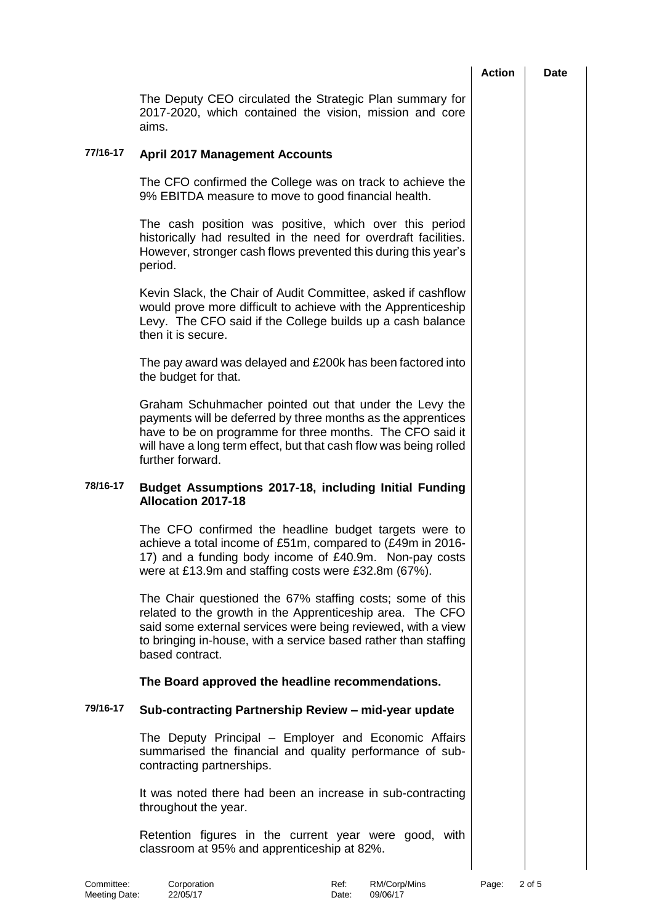|                                                                                                                                                                                                                                                                              | <b>Action</b> | <b>Date</b> |
|------------------------------------------------------------------------------------------------------------------------------------------------------------------------------------------------------------------------------------------------------------------------------|---------------|-------------|
| The Deputy CEO circulated the Strategic Plan summary for<br>2017-2020, which contained the vision, mission and core<br>aims.                                                                                                                                                 |               |             |
| <b>April 2017 Management Accounts</b>                                                                                                                                                                                                                                        |               |             |
| The CFO confirmed the College was on track to achieve the<br>9% EBITDA measure to move to good financial health.                                                                                                                                                             |               |             |
| The cash position was positive, which over this period<br>historically had resulted in the need for overdraft facilities.<br>However, stronger cash flows prevented this during this year's<br>period.                                                                       |               |             |
| Kevin Slack, the Chair of Audit Committee, asked if cashflow<br>would prove more difficult to achieve with the Apprenticeship<br>Levy. The CFO said if the College builds up a cash balance<br>then it is secure.                                                            |               |             |
| The pay award was delayed and £200k has been factored into<br>the budget for that.                                                                                                                                                                                           |               |             |
| Graham Schuhmacher pointed out that under the Levy the<br>payments will be deferred by three months as the apprentices<br>have to be on programme for three months. The CFO said it<br>will have a long term effect, but that cash flow was being rolled<br>further forward. |               |             |
| Budget Assumptions 2017-18, including Initial Funding<br><b>Allocation 2017-18</b>                                                                                                                                                                                           |               |             |
| The CFO confirmed the headline budget targets were to<br>achieve a total income of £51m, compared to (£49m in 2016-<br>17) and a funding body income of £40.9m. Non-pay costs<br>were at £13.9m and staffing costs were £32.8m (67%).                                        |               |             |
| The Chair questioned the 67% staffing costs; some of this<br>related to the growth in the Apprenticeship area. The CFO<br>said some external services were being reviewed, with a view<br>to bringing in-house, with a service based rather than staffing<br>based contract. |               |             |
| The Board approved the headline recommendations.                                                                                                                                                                                                                             |               |             |
| Sub-contracting Partnership Review - mid-year update                                                                                                                                                                                                                         |               |             |
| The Deputy Principal - Employer and Economic Affairs<br>summarised the financial and quality performance of sub-<br>contracting partnerships.                                                                                                                                |               |             |
| It was noted there had been an increase in sub-contracting<br>throughout the year.                                                                                                                                                                                           |               |             |
| Retention figures in the current year were good, with<br>classroom at 95% and apprenticeship at 82%.                                                                                                                                                                         |               |             |
|                                                                                                                                                                                                                                                                              |               |             |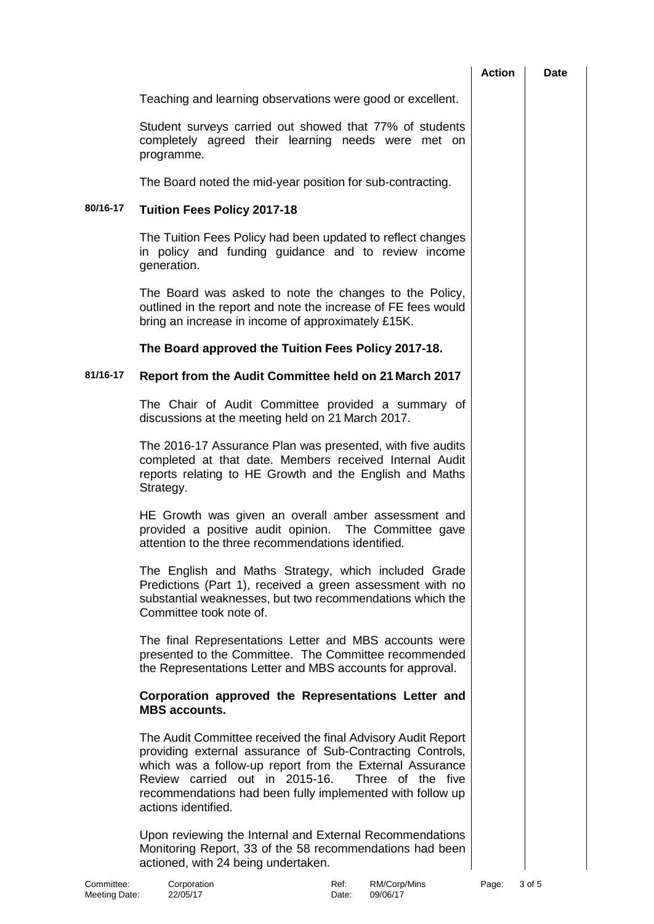|          |                                                                                                                                                                                                                                                                                                                                  | <b>Action</b> | Date |
|----------|----------------------------------------------------------------------------------------------------------------------------------------------------------------------------------------------------------------------------------------------------------------------------------------------------------------------------------|---------------|------|
|          | Teaching and learning observations were good or excellent.                                                                                                                                                                                                                                                                       |               |      |
|          | Student surveys carried out showed that 77% of students<br>completely agreed their learning needs were met on<br>programme.                                                                                                                                                                                                      |               |      |
|          | The Board noted the mid-year position for sub-contracting.                                                                                                                                                                                                                                                                       |               |      |
| 80/16-17 | <b>Tuition Fees Policy 2017-18</b>                                                                                                                                                                                                                                                                                               |               |      |
|          | The Tuition Fees Policy had been updated to reflect changes<br>in policy and funding guidance and to review income<br>generation.                                                                                                                                                                                                |               |      |
|          | The Board was asked to note the changes to the Policy,<br>outlined in the report and note the increase of FE fees would<br>bring an increase in income of approximately £15K.                                                                                                                                                    |               |      |
|          | The Board approved the Tuition Fees Policy 2017-18.                                                                                                                                                                                                                                                                              |               |      |
| 81/16-17 | Report from the Audit Committee held on 21 March 2017                                                                                                                                                                                                                                                                            |               |      |
|          | The Chair of Audit Committee provided a summary of<br>discussions at the meeting held on 21 March 2017.                                                                                                                                                                                                                          |               |      |
|          | The 2016-17 Assurance Plan was presented, with five audits<br>completed at that date. Members received Internal Audit<br>reports relating to HE Growth and the English and Maths<br>Strategy.                                                                                                                                    |               |      |
|          | HE Growth was given an overall amber assessment and<br>provided a positive audit opinion. The Committee gave<br>attention to the three recommendations identified.                                                                                                                                                               |               |      |
|          | The English and Maths Strategy, which included Grade<br>Predictions (Part 1), received a green assessment with no<br>substantial weaknesses, but two recommendations which the<br>Committee took note of.                                                                                                                        |               |      |
|          | The final Representations Letter and MBS accounts were<br>presented to the Committee. The Committee recommended<br>the Representations Letter and MBS accounts for approval.                                                                                                                                                     |               |      |
|          | Corporation approved the Representations Letter and<br><b>MBS</b> accounts.                                                                                                                                                                                                                                                      |               |      |
|          | The Audit Committee received the final Advisory Audit Report<br>providing external assurance of Sub-Contracting Controls,<br>which was a follow-up report from the External Assurance<br>Review carried out in 2015-16.<br>Three of the five<br>recommendations had been fully implemented with follow up<br>actions identified. |               |      |
|          | Upon reviewing the Internal and External Recommendations<br>Monitoring Report, 33 of the 58 recommendations had been<br>actioned, with 24 being undertaken.                                                                                                                                                                      |               |      |

l,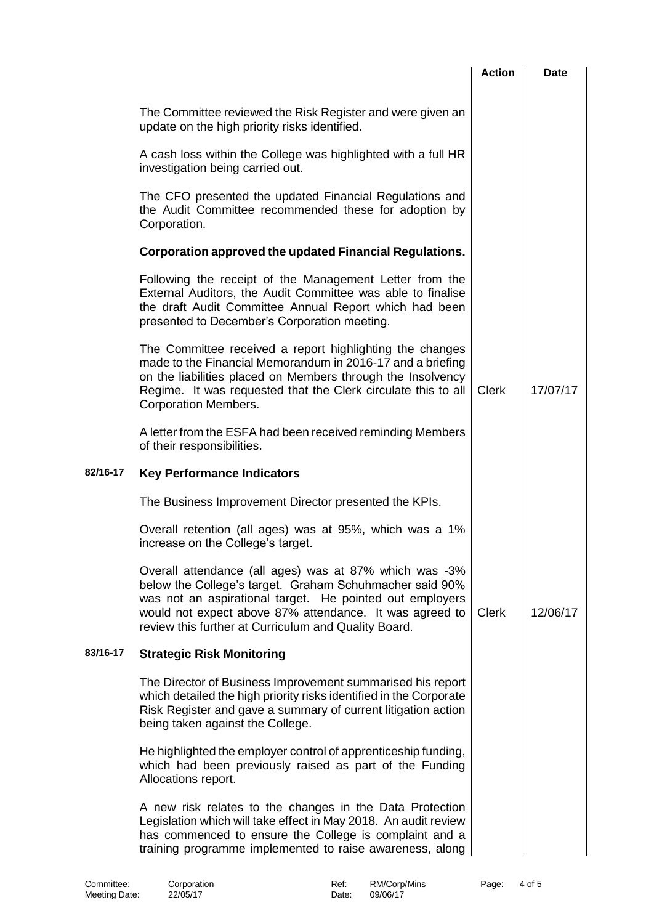|          |                                                                                                                                                                                                                                                                                                  | <b>Action</b> | <b>Date</b> |
|----------|--------------------------------------------------------------------------------------------------------------------------------------------------------------------------------------------------------------------------------------------------------------------------------------------------|---------------|-------------|
|          | The Committee reviewed the Risk Register and were given an<br>update on the high priority risks identified.                                                                                                                                                                                      |               |             |
|          | A cash loss within the College was highlighted with a full HR<br>investigation being carried out.                                                                                                                                                                                                |               |             |
|          | The CFO presented the updated Financial Regulations and<br>the Audit Committee recommended these for adoption by<br>Corporation.                                                                                                                                                                 |               |             |
|          | Corporation approved the updated Financial Regulations.                                                                                                                                                                                                                                          |               |             |
|          | Following the receipt of the Management Letter from the<br>External Auditors, the Audit Committee was able to finalise<br>the draft Audit Committee Annual Report which had been<br>presented to December's Corporation meeting.                                                                 |               |             |
|          | The Committee received a report highlighting the changes<br>made to the Financial Memorandum in 2016-17 and a briefing<br>on the liabilities placed on Members through the Insolvency<br>Regime. It was requested that the Clerk circulate this to all<br><b>Corporation Members.</b>            | <b>Clerk</b>  | 17/07/17    |
|          | A letter from the ESFA had been received reminding Members<br>of their responsibilities.                                                                                                                                                                                                         |               |             |
| 82/16-17 | <b>Key Performance Indicators</b>                                                                                                                                                                                                                                                                |               |             |
|          | The Business Improvement Director presented the KPIs.                                                                                                                                                                                                                                            |               |             |
|          | Overall retention (all ages) was at 95%, which was a 1%<br>increase on the College's target.                                                                                                                                                                                                     |               |             |
|          | Overall attendance (all ages) was at 87% which was -3%<br>below the College's target. Graham Schuhmacher said 90%<br>was not an aspirational target. He pointed out employers<br>would not expect above 87% attendance. It was agreed to<br>review this further at Curriculum and Quality Board. | <b>Clerk</b>  | 12/06/17    |
| 83/16-17 | <b>Strategic Risk Monitoring</b>                                                                                                                                                                                                                                                                 |               |             |
|          | The Director of Business Improvement summarised his report<br>which detailed the high priority risks identified in the Corporate<br>Risk Register and gave a summary of current litigation action<br>being taken against the College.                                                            |               |             |
|          | He highlighted the employer control of apprenticeship funding,<br>which had been previously raised as part of the Funding<br>Allocations report.                                                                                                                                                 |               |             |
|          | A new risk relates to the changes in the Data Protection<br>Legislation which will take effect in May 2018. An audit review<br>has commenced to ensure the College is complaint and a<br>training programme implemented to raise awareness, along                                                |               |             |
|          |                                                                                                                                                                                                                                                                                                  |               |             |